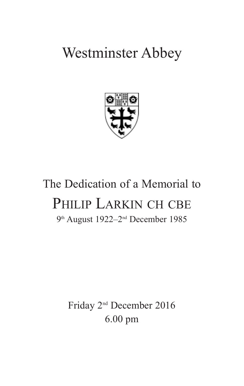Westminster Abbey



# The Dedication of a Memorial to PHILIP LARKIN CH CBE 9th August 1922–2nd December 1985

Friday 2nd December 2016 6.00 pm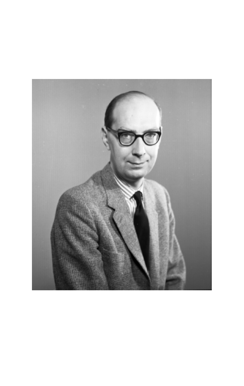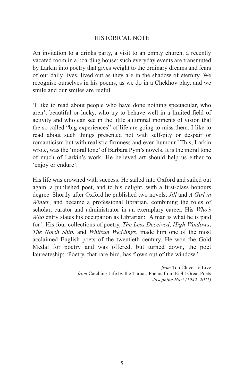## HISTORICAL NOTE

An invitation to a drinks party, a visit to an empty church, a recently vacated room in a boarding house: such everyday events are transmuted by Larkin into poetry that gives weight to the ordinary dreams and fears of our daily lives, lived out as they are in the shadow of eternity. We recognise ourselves in his poems, as we do in a Chekhov play, and we smile and our smiles are rueful.

'I like to read about people who have done nothing spectacular, who aren't beautiful or lucky, who try to behave well in a limited field of activity and who can see in the little autumnal moments of vision that the so called "big experiences" of life are going to miss them. I like to read about such things presented not with self-pity or despair or romanticism but with realistic firmness and even humour.' This, Larkin wrote, was the 'moral tone' of Barbara Pym's novels. It is the moral tone of much of Larkin's work. He believed art should help us either to 'enjoy or endure'.

His life was crowned with success. He sailed into Oxford and sailed out again, a published poet, and to his delight, with a first-class honours degree. Shortly after Oxford he published two novels, *Jill* and *A Girl in Winter*, and became a professional librarian, combining the roles of scholar, curator and administrator in an exemplary career. His *Who's Who* entry states his occupation as Librarian: 'A man is what he is paid for'. His four collections of poetry, *The Less Deceived*, *High Windows*, *The North Ship*, and *Whitsun Weddings*, made him one of the most acclaimed English poets of the twentieth century. He won the Gold Medal for poetry and was offered, but turned down, the poet laureateship: 'Poetry, that rare bird, has flown out of the window.'

> *from* Too Clever to Live *from* Catching Life by the Throat: Poems from Eight Great Poets *Josephine Hart (1942–2011)*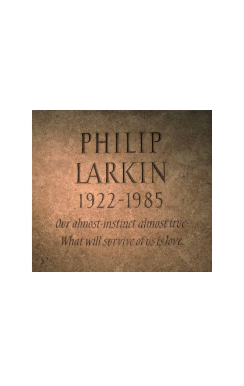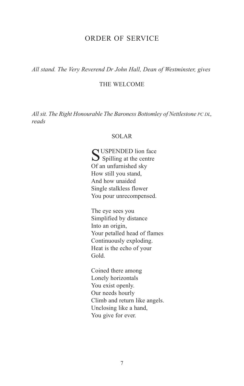# ORDER OF SERVICE

*All stand. The Very Reverend Dr John Hall, Dean of Westminster, gives*

#### THE WELCOME

*All sit. The Right Honourable The Baroness Bottomley of Nettlestone PC DL, reads*

## SOLAR

SUSPENDED lion face Of an unfurnished sky How still you stand, And how unaided Single stalkless flower You pour unrecompensed.

The eye sees you Simplified by distance Into an origin, Your petalled head of flames Continuously exploding. Heat is the echo of your Gold.

Coined there among Lonely horizontals You exist openly. Our needs hourly Climb and return like angels. Unclosing like a hand, You give for ever.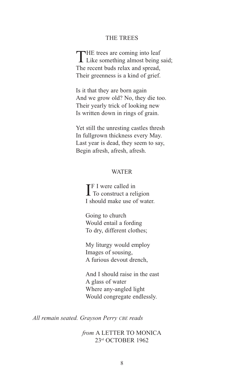#### THE TREES

THE trees are coming into leaf<br>Like something almost being said; The recent buds relax and spread, Their greenness is a kind of grief.

Is it that they are born again And we grow old? No, they die too. Their yearly trick of looking new Is written down in rings of grain.

Yet still the unresting castles thresh In fullgrown thickness every May. Last year is dead, they seem to say, Begin afresh, afresh, afresh.

### WATER

IF I were called in<br>To construct a re To construct a religion I should make use of water.

Going to church Would entail a fording To dry, different clothes;

My liturgy would employ Images of sousing, A furious devout drench,

And I should raise in the east A glass of water Where any-angled light Would congregate endlessly.

*All remain seated. Grayson Perry CBE reads*

*from* A LETTER TO MONICA 23rd OCTOBER 1962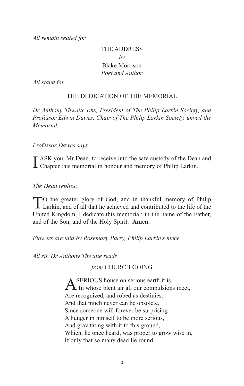*All remain seated for*

# THE ADDRESS *by* Blake Morrison *Poet and Author*

*All stand for*

# THE DEDICATION OF THE MEMORIAL

*Dr Anthony Thwaite OBE, President of The Philip Larkin Society, and Professor Edwin Dawes, Chair of The Philip Larkin Society, unveil the Memorial.*

*Professor Dawes says:*

I ASK you, Mr Dean, to receive into the safe custody of the Dear Chapter this memorial in honour and memory of Philip Larkin. ASK you, Mr Dean, to receive into the safe custody of the Dean and

*The Dean replies:*

TO the greater glory of God, and in thankful memory of Philip Larkin, and of all that he achieved and contributed to the life of the United Kingdom, I dedicate this memorial: in the name of the Father, and of the Son, and of the Holy Spirit. **Amen.**

*Flowers are laid by Rosemary Parry, Philip Larkin's niece.*

*All sit. Dr Anthony Thwaite reads*

# *from* CHURCH GOING

ASERIOUS house on serious earth it is, In whose blent air all our compulsions meet, Are recognized, and robed as destinies. And that much never can be obsolete, Since someone will forever be surprising A hunger in himself to be more serious, And gravitating with it to this ground, Which, he once heard, was proper to grow wise in, If only that so many dead lie round.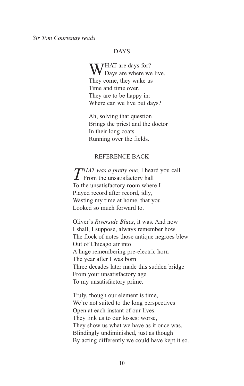## DAYS

**M** / HAT are days for? **V** Days are where we live. They come, they wake us Time and time over. They are to be happy in: Where can we live but days?

Ah, solving that question Brings the priest and the doctor In their long coats Running over the fields.

# REFERENCE BACK

*THAT* was a *pretty one*, I heard you call From the unsatisfactory hall To the unsatisfactory room where I Played record after record, idly, Wasting my time at home, that you Looked so much forward to.

Oliver's *Riverside Blues*, it was. And now I shall, I suppose, always remember how The flock of notes those antique negroes blew Out of Chicago air into A huge remembering pre-electric horn The year after I was born Three decades later made this sudden bridge From your unsatisfactory age To my unsatisfactory prime.

Truly, though our element is time, We're not suited to the long perspectives Open at each instant of our lives. They link us to our losses: worse, They show us what we have as it once was, Blindingly undiminished, just as though By acting differently we could have kept it so.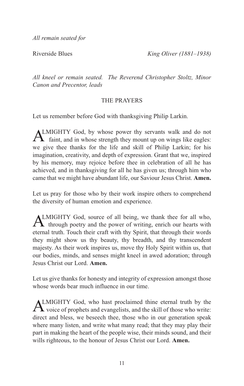*All remain seated for*

Riverside Blues *King Oliver (1881–1938)*

*All kneel or remain seated. The Reverend Christopher Stoltz, Minor Canon and Precentor, leads*

# THE PRAYERS

Let us remember before God with thanksgiving Philip Larkin.

ALMIGHTY God, by whose power thy servants walk and do not faint, and in whose strength they mount up on wings like eagles: we give thee thanks for the life and skill of Philip Larkin; for his imagination, creativity, and depth of expression. Grant that we, inspired by his memory, may rejoice before thee in celebration of all he has achieved, and in thanksgiving for all he has given us; through him who came that we might have abundant life, our Saviour Jesus Christ. **Amen.**

Let us pray for those who by their work inspire others to comprehend the diversity of human emotion and experience.

ALMIGHTY God, source of all being, we thank thee for all who, through poetry and the power of writing, enrich our hearts with eternal truth. Touch their craft with thy Spirit, that through their words they might show us thy beauty, thy breadth, and thy transcendent majesty. As their work inspires us, move thy Holy Spirit within us, that our bodies, minds, and senses might kneel in awed adoration; through Jesus Christ our Lord. **Amen.**

Let us give thanks for honesty and integrity of expression amongst those whose words bear much influence in our time.

ALMIGHTY God, who hast proclaimed thine eternal truth by the voice of prophets and evangelists, and the skill of those who write: direct and bless, we beseech thee, those who in our generation speak where many listen, and write what many read; that they may play their part in making the heart of the people wise, their minds sound, and their wills righteous, to the honour of Jesus Christ our Lord. **Amen.**